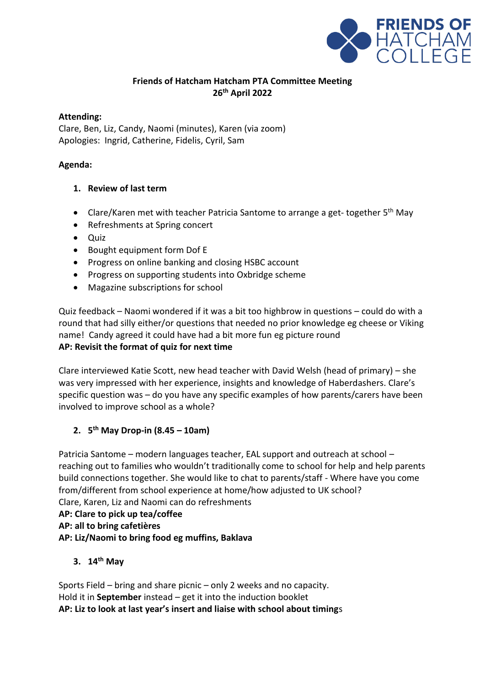

## **Friends of Hatcham Hatcham PTA Committee Meeting 26th April 2022**

## **Attending:**

Clare, Ben, Liz, Candy, Naomi (minutes), Karen (via zoom) Apologies: Ingrid, Catherine, Fidelis, Cyril, Sam

## **Agenda:**

## **1. Review of last term**

- Clare/Karen met with teacher Patricia Santome to arrange a get-together 5<sup>th</sup> May
- Refreshments at Spring concert
- Quiz
- Bought equipment form Dof E
- Progress on online banking and closing HSBC account
- Progress on supporting students into Oxbridge scheme
- Magazine subscriptions for school

Quiz feedback – Naomi wondered if it was a bit too highbrow in questions – could do with a round that had silly either/or questions that needed no prior knowledge eg cheese or Viking name! Candy agreed it could have had a bit more fun eg picture round **AP: Revisit the format of quiz for next time**

Clare interviewed Katie Scott, new head teacher with David Welsh (head of primary) – she was very impressed with her experience, insights and knowledge of Haberdashers. Clare's specific question was – do you have any specific examples of how parents/carers have been involved to improve school as a whole?

## **2. 5 th May Drop-in (8.45 – 10am)**

Patricia Santome – modern languages teacher, EAL support and outreach at school – reaching out to families who wouldn't traditionally come to school for help and help parents build connections together. She would like to chat to parents/staff - Where have you come from/different from school experience at home/how adjusted to UK school? Clare, Karen, Liz and Naomi can do refreshments

**AP: Clare to pick up tea/coffee** 

**AP: all to bring cafetières**

## **AP: Liz/Naomi to bring food eg muffins, Baklava**

**3. 14th May**

Sports Field – bring and share picnic – only 2 weeks and no capacity. Hold it in **September** instead – get it into the induction booklet **AP: Liz to look at last year's insert and liaise with school about timing**s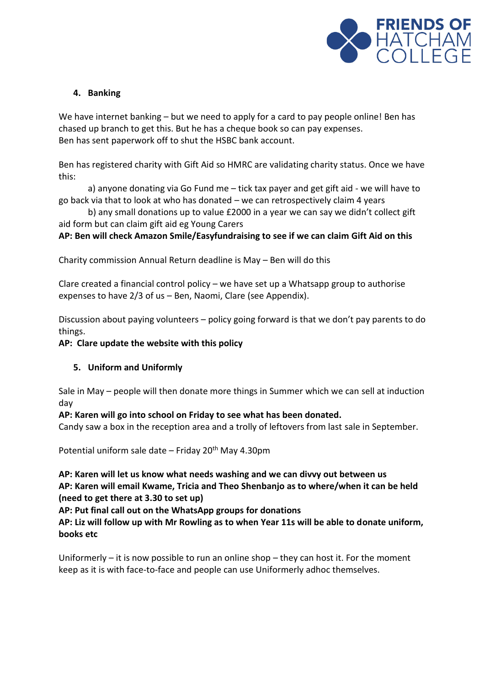

## **4. Banking**

We have internet banking – but we need to apply for a card to pay people online! Ben has chased up branch to get this. But he has a cheque book so can pay expenses. Ben has sent paperwork off to shut the HSBC bank account.

Ben has registered charity with Gift Aid so HMRC are validating charity status. Once we have this:

a) anyone donating via Go Fund me – tick tax payer and get gift aid - we will have to go back via that to look at who has donated – we can retrospectively claim 4 years

b) any small donations up to value £2000 in a year we can say we didn't collect gift aid form but can claim gift aid eg Young Carers

## **AP: Ben will check Amazon Smile/Easyfundraising to see if we can claim Gift Aid on this**

Charity commission Annual Return deadline is May – Ben will do this

Clare created a financial control policy – we have set up a Whatsapp group to authorise expenses to have 2/3 of us – Ben, Naomi, Clare (see Appendix).

Discussion about paying volunteers – policy going forward is that we don't pay parents to do things.

#### **AP: Clare update the website with this policy**

## **5. Uniform and Uniformly**

Sale in May – people will then donate more things in Summer which we can sell at induction day

## **AP: Karen will go into school on Friday to see what has been donated.**

Candy saw a box in the reception area and a trolly of leftovers from last sale in September.

Potential uniform sale date – Friday  $20<sup>th</sup>$  May 4.30pm

**AP: Karen will let us know what needs washing and we can divvy out between us AP: Karen will email Kwame, Tricia and Theo Shenbanjo as to where/when it can be held (need to get there at 3.30 to set up)**

**AP: Put final call out on the WhatsApp groups for donations**

**AP: Liz will follow up with Mr Rowling as to when Year 11s will be able to donate uniform, books etc**

Uniformerly – it is now possible to run an online shop – they can host it. For the moment keep as it is with face-to-face and people can use Uniformerly adhoc themselves.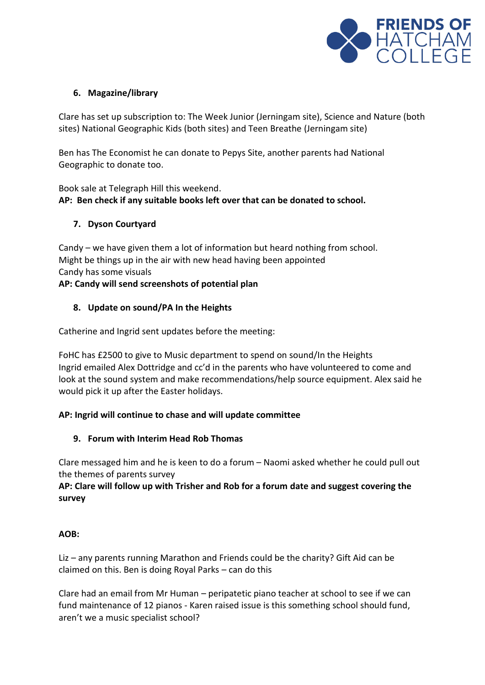

#### **6. Magazine/library**

Clare has set up subscription to: The Week Junior (Jerningam site), Science and Nature (both sites) National Geographic Kids (both sites) and Teen Breathe (Jerningam site)

Ben has The Economist he can donate to Pepys Site, another parents had National Geographic to donate too.

Book sale at Telegraph Hill this weekend. **AP: Ben check if any suitable books left over that can be donated to school.**

## **7. Dyson Courtyard**

Candy – we have given them a lot of information but heard nothing from school. Might be things up in the air with new head having been appointed Candy has some visuals **AP: Candy will send screenshots of potential plan**

# **8. Update on sound/PA In the Heights**

Catherine and Ingrid sent updates before the meeting:

FoHC has £2500 to give to Music department to spend on sound/In the Heights Ingrid emailed Alex Dottridge and cc'd in the parents who have volunteered to come and look at the sound system and make recommendations/help source equipment. Alex said he would pick it up after the Easter holidays.

#### **AP: Ingrid will continue to chase and will update committee**

#### **9. Forum with Interim Head Rob Thomas**

Clare messaged him and he is keen to do a forum – Naomi asked whether he could pull out the themes of parents survey

## **AP: Clare will follow up with Trisher and Rob for a forum date and suggest covering the survey**

## **AOB:**

Liz – any parents running Marathon and Friends could be the charity? Gift Aid can be claimed on this. Ben is doing Royal Parks – can do this

Clare had an email from Mr Human – peripatetic piano teacher at school to see if we can fund maintenance of 12 pianos - Karen raised issue is this something school should fund, aren't we a music specialist school?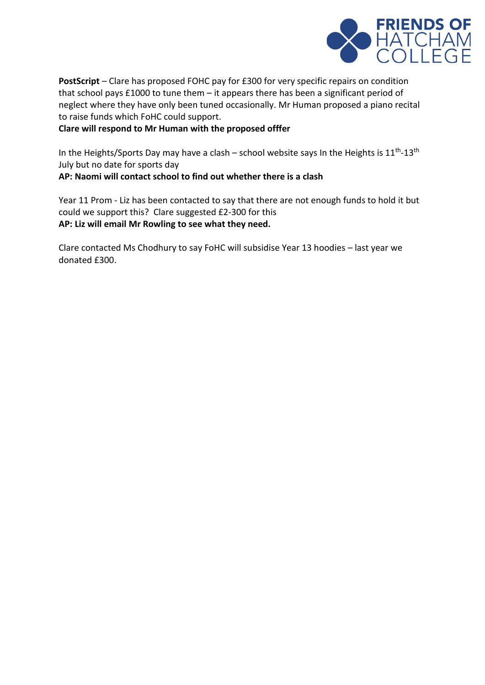

**PostScript** – Clare has proposed FOHC pay for £300 for very specific repairs on condition that school pays £1000 to tune them – it appears there has been a significant period of neglect where they have only been tuned occasionally. Mr Human proposed a piano recital to raise funds which FoHC could support.

#### **Clare will respond to Mr Human with the proposed offfer**

In the Heights/Sports Day may have a clash – school website says In the Heights is  $11<sup>th</sup>$ -13<sup>th</sup> July but no date for sports day

**AP: Naomi will contact school to find out whether there is a clash**

Year 11 Prom - Liz has been contacted to say that there are not enough funds to hold it but could we support this? Clare suggested £2-300 for this **AP: Liz will email Mr Rowling to see what they need.** 

Clare contacted Ms Chodhury to say FoHC will subsidise Year 13 hoodies – last year we donated £300.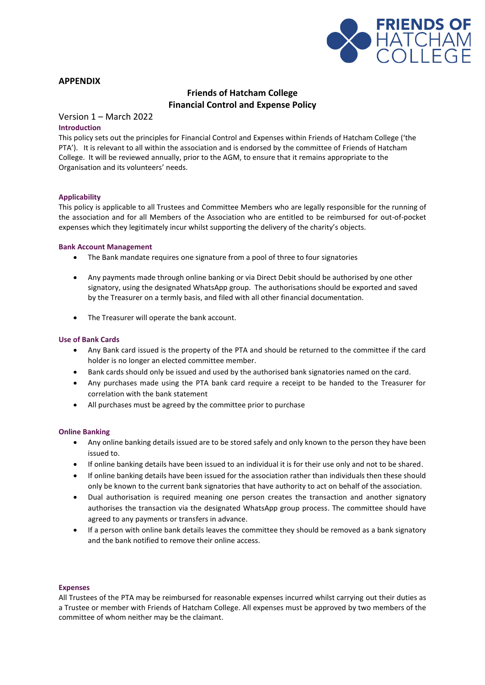

#### **APPENDIX**

#### **Friends of Hatcham College Financial Control and Expense Policy**

#### Version 1 – March 2022

#### **Introduction**

This policy sets out the principles for Financial Control and Expenses within Friends of Hatcham College ('the PTA'). It is relevant to all within the association and is endorsed by the committee of Friends of Hatcham College. It will be reviewed annually, prior to the AGM, to ensure that it remains appropriate to the Organisation and its volunteers' needs.

#### **Applicability**

This policy is applicable to all Trustees and Committee Members who are legally responsible for the running of the association and for all Members of the Association who are entitled to be reimbursed for out-of-pocket expenses which they legitimately incur whilst supporting the delivery of the charity's objects.

#### **Bank Account Management**

- The Bank mandate requires one signature from a pool of three to four signatories
- Any payments made through online banking or via Direct Debit should be authorised by one other signatory, using the designated WhatsApp group. The authorisations should be exported and saved by the Treasurer on a termly basis, and filed with all other financial documentation.
- The Treasurer will operate the bank account.

#### **Use of Bank Cards**

- Any Bank card issued is the property of the PTA and should be returned to the committee if the card holder is no longer an elected committee member.
- Bank cards should only be issued and used by the authorised bank signatories named on the card.
- Any purchases made using the PTA bank card require a receipt to be handed to the Treasurer for correlation with the bank statement
- All purchases must be agreed by the committee prior to purchase

#### **Online Banking**

- Any online banking details issued are to be stored safely and only known to the person they have been issued to.
- If online banking details have been issued to an individual it is for their use only and not to be shared.
- If online banking details have been issued for the association rather than individuals then these should only be known to the current bank signatories that have authority to act on behalf of the association.
- Dual authorisation is required meaning one person creates the transaction and another signatory authorises the transaction via the designated WhatsApp group process. The committee should have agreed to any payments or transfers in advance.
- If a person with online bank details leaves the committee they should be removed as a bank signatory and the bank notified to remove their online access.

#### **Expenses**

All Trustees of the PTA may be reimbursed for reasonable expenses incurred whilst carrying out their duties as a Trustee or member with Friends of Hatcham College. All expenses must be approved by two members of the committee of whom neither may be the claimant.